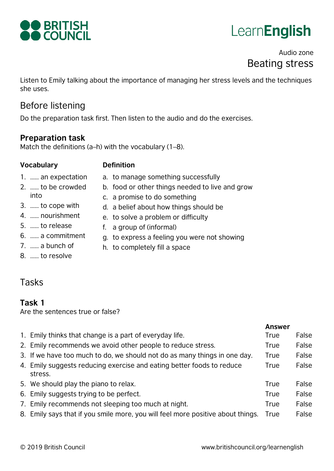

# **LearnEnglish**

## Audio zone Beating stress

Listen to Emily talking about the importance of managing her stress levels and the techniques she uses.

a. to manage something successfully

d. a belief about how things should be

e. to solve a problem or difficulty

b. food or other things needed to live and grow

### Before listening

Do the preparation task first. Then listen to the audio and do the exercises.

#### **Preparation task**

Match the definitions (a–h) with the vocabulary (1–8).

#### **Vocabulary Definition**

- 1. …… an expectation
- 2. …… to be crowded into
- 3. …… to cope with
- 4. …… nourishment
- 5. …… to release
- 6. …… a commitment
- 7. …… a bunch of
- 8. …… to resolve
- 
- g. to express a feeling you were not showing h. to completely fill a space

f. a group of (informal)

c. a promise to do something

# Tasks

#### **Task 1**

Are the sentences true or false?

|                                                                                  | <b>Answer</b> |       |
|----------------------------------------------------------------------------------|---------------|-------|
| 1. Emily thinks that change is a part of everyday life.                          | <b>True</b>   | False |
| 2. Emily recommends we avoid other people to reduce stress.                      | True          | False |
| 3. If we have too much to do, we should not do as many things in one day.        | True          | False |
| 4. Emily suggests reducing exercise and eating better foods to reduce<br>stress. | <b>True</b>   | False |
| 5. We should play the piano to relax.                                            | <b>True</b>   | False |
| 6. Emily suggests trying to be perfect.                                          | <b>True</b>   | False |
| 7. Emily recommends not sleeping too much at night.                              | <b>True</b>   | False |
| 8. Emily says that if you smile more, you will feel more positive about things.  | True          | False |
|                                                                                  |               |       |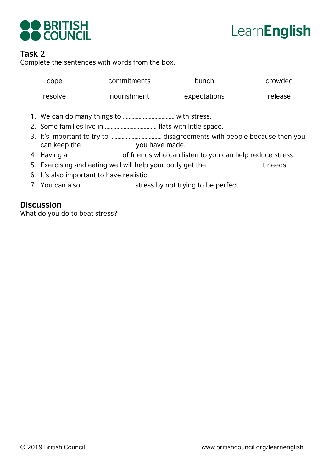

# LearnEnglish

#### **Task 2**

Complete the sentences with words from the box.

| cope    | commitments | bunch        | crowded |
|---------|-------------|--------------|---------|
| resolve | nourishment | expectations | release |

- 1. We can do many things to ……………………………… with stress.
- 2. Some families live in ……………………………… flats with little space.
- 3. It's important to try to ……………………………… disagreements with people because then you can keep the ……………………………… you have made.
- 4. Having a ……………………………… of friends who can listen to you can help reduce stress.
- 5. Exercising and eating well will help your body get the ……………………………… it needs.
- 6. It's also important to have realistic ……………………………… .
- 7. You can also ……………………………… stress by not trying to be perfect.

#### **Discussion**

What do you do to beat stress?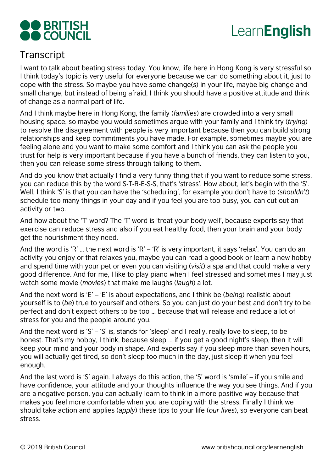

# Learn**English**

# **Transcript**

I want to talk about beating stress today. You know, life here in Hong Kong is very stressful so I think today's topic is very useful for everyone because we can do something about it, just to cope with the stress. So maybe you have some change(*s*) in your life, maybe big change and small change, but instead of being afraid, I think you should have a positive attitude and think of change as a normal part of life.

And I think maybe here in Hong Kong, the family (*families*) are crowded into a very small housing space, so maybe you would sometimes argue with your family and I think try (*trying*) to resolve the disagreement with people is very important because then you can build strong relationships and keep commitments you have made. For example, sometimes maybe you are feeling alone and you want to make some comfort and I think you can ask the people you trust for help is very important because if you have a bunch of friends, they can listen to you, then you can release some stress through talking to them.

And do you know that actually I find a very funny thing that if you want to reduce some stress, you can reduce this by the word S-T-R-E-S-S, that's 'stress'. How about, let's begin with the 'S'. Well, I think 'S' is that you can have the 'scheduling', for example you don't have to (*shouldn't*) schedule too many things in your day and if you feel you are too busy, you can cut out an activity or two.

And how about the 'T' word? The 'T' word is 'treat your body well', because experts say that exercise can reduce stress and also if you eat healthy food, then your brain and your body get the nourishment they need.

And the word is 'R' … the next word is 'R' – 'R' is very important, it says 'relax'. You can do an activity you enjoy or that relaxes you, maybe you can read a good book or learn a new hobby and spend time with your pet or even you can visiting (*visit*) a spa and that could make a very good difference. And for me, I like to play piano when I feel stressed and sometimes I may just watch some movie (*movies*) that make me laughs (*laugh*) a lot.

And the next word is 'E' – 'E' is about expectations, and I think be (*being*) realistic about yourself is to (*be*) true to yourself and others. So you can just do your best and don't try to be perfect and don't expect others to be too … because that will release and reduce a lot of stress for you and the people around you.

And the next word is 'S' – 'S' is, stands for 'sleep' and I really, really love to sleep, to be honest. That's my hobby, I think, because sleep … if you get a good night's sleep, then it will keep your mind and your body in shape. And experts say if you sleep more than seven hours, you will actually get tired, so don't sleep too much in the day, just sleep it when you feel enough.

And the last word is 'S' again. I always do this action, the 'S' word is 'smile' – if you smile and have confidence, your attitude and your thoughts influence the way you see things. And if you are a negative person, you can actually learn to think in a more positive way because that makes you feel more comfortable when you are coping with the stress. Finally I think we should take action and applies (*apply*) these tips to your life (*our lives*), so everyone can beat stress.